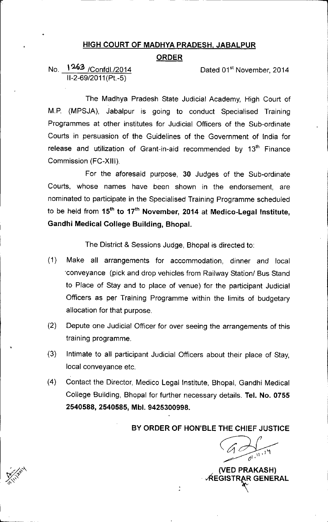## HIGH COURT OF MADHYA PRADESH, JABALPUR

## **ORDER**

## No. \ U:3 *IConfdl.l2014 11-2-69/2011*(Pt.-5)

•

b

Dated 01<sup>st</sup> November, 2014

1

The Madhya Pradesh State Judicial Academy, High Court of M.P. (MPSJA), Jabalpur is going to conduct Specialised Training Programmes at other institutes for Judicial Officers of the Sub-ordinate Courts in persuasion of the Guidelines of the Government of India for release and utilization of Grant-in-aid recommended by 13<sup>th</sup> Finance Commission (FC-XIII).

For the aforesaid purpose, 30 Judges of the Sub-ordinate Courts, whose names have been shown in the endorsement, are nominated to participate in the Specialised Training Programme scheduled to be held from  $15<sup>th</sup>$  to  $17<sup>th</sup>$  November, 2014 at Medico-Legal Institute, Gandhi Medical College Building, Bhopal.

The District & Sessions Judge, Bhopal is directed to:

- (1) Make all arrangements for accommodation, dinner and local 'conveyance (pick and drop vehicles from Railway *Stationl* Bus Stand to Place of Stay and to place of venue) for the participant Judicial Officers as per Training Programme within the limits of budgetary allocation for that purpose.
- (2) Depute one Judicial Officer for over seeing the arrangements of this training programme.
- (3) Intimate to all participant Judicial Officers about their place of Stay, local conveyance etc.
- (4) Contact the Director, Medico Legal Institute, Bhopal, Gandhi Medical College Building, Bhopal for further necessary details. Tel. No. 0755 2540588, 2540585, Mbl. 9425300998.

BY ORDER OF HON'BLE THE CHIEF JUSTICE

(VED PRAKASH) √REGISTRAR GENERAL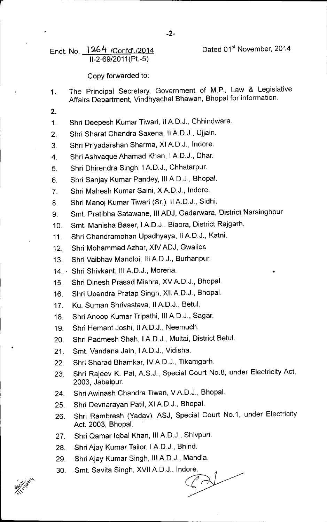Endt. No. 1264 /Confdl./2014  $\overline{11}$ -2-69/2011(Pt.-5)

## Copy forwarded to:

- 1. The Principal Secretary, Government of M.P., Law & Legislative Affairs Department, Vindhyachal Bhawan, Bhopal for information.
- 2.

r

- 1. Shri Deepesh Kumar Tiwari, II A.D.J., Chhindwara.
- 2. Shri Sharat Chandra Saxena, II A.D.J., Ujjain.
- 3. Shri Priyadarshan Sharma, XI A.D.J., Indore.
- 4. Shri Ashvaque Ahamad Khan, I A.D.J., Dhar.
- 5. Shri Dhirendra Singh, I AD.J., Chhatarpur.
- 6. Shri Sanjay Kumar Pandey, 111A.D.J., Bhopal.
- 7. Shri Mahesh Kumar Saini, X A.D.J., Indore.
- 8. Shri Manoj Kumar Tiwari (Sr.), II A.D.J., Sidhi.
- 9. Smt. Pratibha Satawane, III ADJ, Gadarwara, District Narsinghpur
- 10. Smt. Manisha Baser, I A.D.J., Biaora, District Rajgarh.
- 11. Shri Chandramohan Upadhyaya, 11AD.J., Katni.
- 12. Shri Mohammad Azhar, XIV ADJ, Gwalior.
- 13. Shri Vaibhav Mandloi, III A.D.J., Burhanpur.
- 14.. Shri Shivkant, III AD.J., Morena.
- 15. Shri Dinesh Prasad Mishra, XV A.D.J., Bhopal.
- 16. Shri Upendra Pratap Singh, XII A.D.J., Bhopal.
- 17. Ku. Suman Shrivastava, II AD.J., Betul.
- 18. Shri Anoop Kumar Tripathi, III A.D.J., Sagar.
- 19. Shri Hemant Joshi, II A.D.J., Neemuch.
- 20. Shri Padmesh Shah, I A.D.J., Multai, District Betul.
- 21. Smt. Vandana Jain, I A.D.J., Vidisha.
- 22. Shri Sharad Bhamkar, IV A.D.J., Tikamgarh.
- 23. Shri Rajeev K. Pal, A.S.J., Special Court No.8, under Electricity Act, 2003, Jabalpur
- 24. Shri Awinash Chandra Tiwari, V A.D.J., Bhopal.
- 25. Shri Devnarayan Patil, XI A.D.J., Bhopal.
- 26. Shri Rambresh (Yadav), ASJ, Special Court NO.1, under Electricity Act, 2003, Bhopal.
- 27. Shri Qamar Iqbal Khan, III A.D.J., Shivpuri.
- 28. Shri Ajay Kumar Tailor, I A.D.J., Bhind.
- 29. Shri Ajay Kumar Singh, III A.D.J., Mandla.
- 30. Smt. Savita Singh, XVII A.D.J., Indore.

•

-2-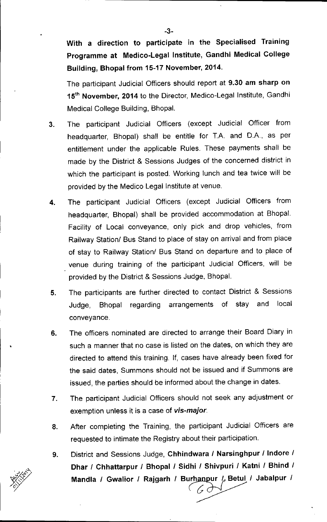With a direction to participate in the Specialised Training Programme at Medico-Legal Institute, Gandhi Medical College Building, Bhopal from 15-17 November, 2014.

The participant Judicial Officers should report at 9.30 am sharp on 15<sup>th</sup> November, 2014 to the Director, Medico-Legal Institute, Gandhi Medical College Building, Bhopal.

- 3. The participant Judicial Officers (except Judicial Officer from headquarter, Bhopal) shall be entitle for TA. and D.A., as per entitlement under the applicable Rules. These payments shall be made by the District & Sessions Judges of the concerned district in which the participant is posted. Working lunch and tea twice will be provided by the Medico Legal Institute at venue.
- 4. The participant Judicial Officers (except Judicial Officers from headquarter, Bhopal) shall be provided accommodation at Bhopal. Facility of Local conveyance, only pick and drop vehicles, from Railway Station/ Bus Stand to place of stay on arrival and from place of stay to Railway Station/ Bus Stand on departure and to place of venue during training of the participant Judicial Officers, will be provided by the District & Sessions Judge, Bhopal.
- 5. The participants are further directed to contact District & Sessions Judge, Bhopal regarding arrangements of stay and local conveyance.
- 6. The officers nominated are directed to arrange their Board Diary in such a manner that no case is listed on the dates, on which they are directed to attend this training. If, cases have already been fixed for the said dates, Summons should not be issued and if Summons are issued, the parties should be informed about the change in dates.

•

- 7. The participant Judicial Officers should not seek any adjustment or exemption unless it is a case of *vis-major.*
- 8. After completing the Training, the participant Judicial Officers are requested to intimate the Registry about their participation.
- 9. District and Sessions Judge, Chhindwara *I* Narsinghpur *I* Indore *I* Dhar *I* Chhattarpur *I* Bhopal *I* Sidhi *I* Shivpuri *I* Katni *I* Bhind *I* Mandla / Gwalior / Rajgarh / Burhanpur / Betul / Jabalpur /  $\left(\begin{array}{c} 7 \end{array}\right)$